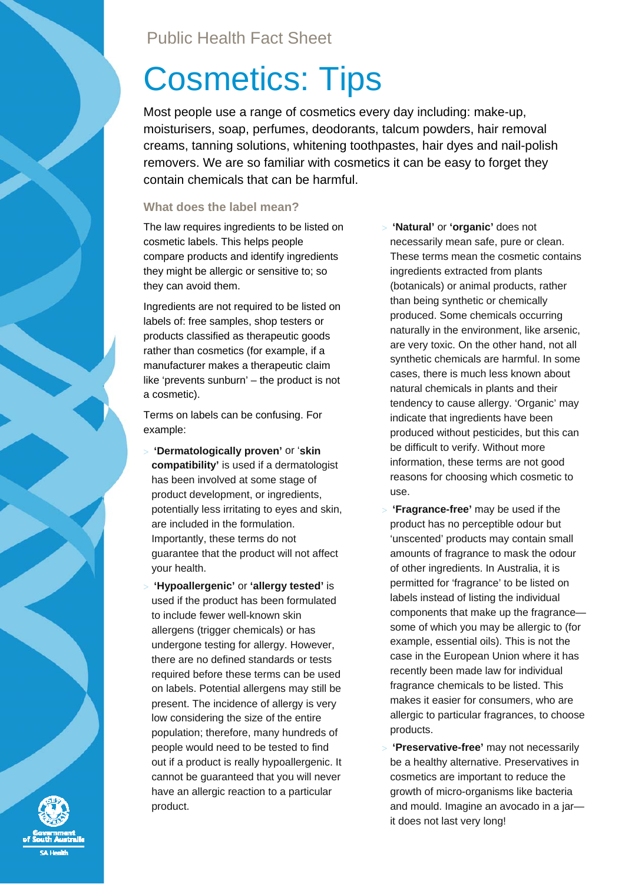# Cosmetics: Tips

Most people use a range of cosmetics every day including: make-up, moisturisers, soap, perfumes, deodorants, talcum powders, hair removal creams, tanning solutions, whitening toothpastes, hair dyes and nail-polish removers. We are so familiar with cosmetics it can be easy to forget they contain chemicals that can be harmful.

### **What does the label mean?**

The law requires ingredients to be listed on cosmetic labels. This helps people compare products and identify ingredients they might be allergic or sensitive to; so they can avoid them.

Ingredients are not required to be listed on labels of: free samples, shop testers or products classified as therapeutic goods rather than cosmetics (for example, if a manufacturer makes a therapeutic claim like 'prevents sunburn' – the product is not a cosmetic).

Terms on labels can be confusing. For example:

- > **'Dermatologically proven'** or '**skin compatibility'** is used if a dermatologist has been involved at some stage of product development, or ingredients, potentially less irritating to eyes and skin, are included in the formulation. Importantly, these terms do not guarantee that the product will not affect your health.
- > **'Hypoallergenic'** or **'allergy tested'** is used if the product has been formulated to include fewer well-known skin allergens (trigger chemicals) or has undergone testing for allergy. However, there are no defined standards or tests required before these terms can be used on labels. Potential allergens may still be present. The incidence of allergy is very low considering the size of the entire population; therefore, many hundreds of people would need to be tested to find out if a product is really hypoallergenic. It cannot be guaranteed that you will never have an allergic reaction to a particular product.
- > **'Natural'** or **'organic'** does not necessarily mean safe, pure or clean. These terms mean the cosmetic contains ingredients extracted from plants (botanicals) or animal products, rather than being synthetic or chemically produced. Some chemicals occurring naturally in the environment, like arsenic, are very toxic. On the other hand, not all synthetic chemicals are harmful. In some cases, there is much less known about natural chemicals in plants and their tendency to cause allergy. 'Organic' may indicate that ingredients have been produced without pesticides, but this can be difficult to verify. Without more information, these terms are not good reasons for choosing which cosmetic to use.
- > **'Fragrance-free'** may be used if the product has no perceptible odour but 'unscented' products may contain small amounts of fragrance to mask the odour of other ingredients. In Australia, it is permitted for 'fragrance' to be listed on labels instead of listing the individual components that make up the fragrance some of which you may be allergic to (for example, essential oils). This is not the case in the European Union where it has recently been made law for individual fragrance chemicals to be listed. This makes it easier for consumers, who are allergic to particular fragrances, to choose products.
- > **'Preservative-free'** may not necessarily be a healthy alternative. Preservatives in cosmetics are important to reduce the growth of micro-organisms like bacteria and mould. Imagine an avocado in a jar it does not last very long!

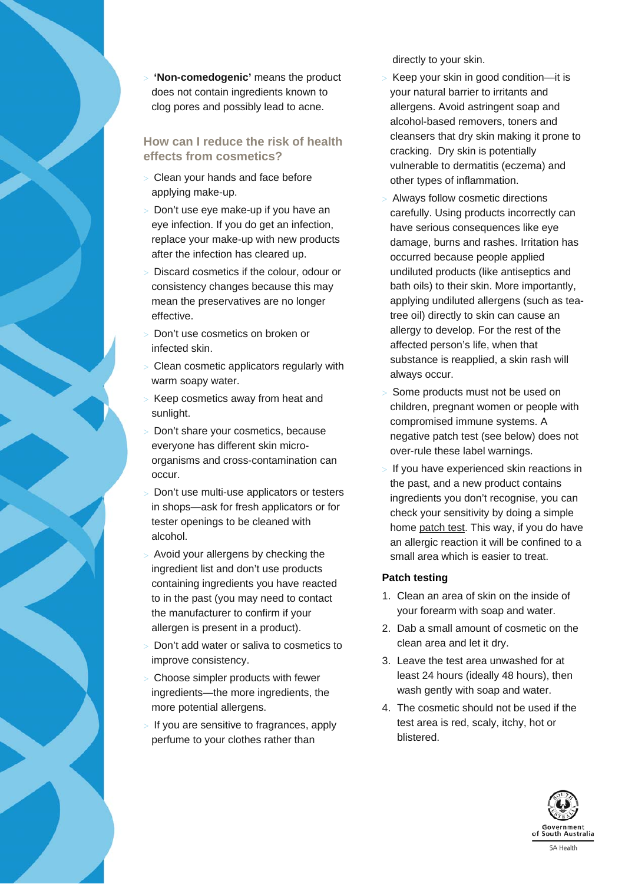

# **How can I reduce the risk of health effects from cosmetics?**

- > Clean your hands and face before applying make-up.
- > Don't use eye make-up if you have an eye infection. If you do get an infection, replace your make-up with new products after the infection has cleared up.
- Discard cosmetics if the colour, odour or consistency changes because this may mean the preservatives are no longer effective.
- Don't use cosmetics on broken or infected skin.
- Clean cosmetic applicators regularly with warm soapy water.
- Keep cosmetics away from heat and sunlight.
- Don't share your cosmetics, because everyone has different skin microorganisms and cross-contamination can occur.
- Don't use multi-use applicators or testers in shops—ask for fresh applicators or for tester openings to be cleaned with alcohol.
- Avoid your allergens by checking the ingredient list and don't use products containing ingredients you have reacted to in the past (you may need to contact the manufacturer to confirm if your allergen is present in a product).
- > Don't add water or saliva to cosmetics to improve consistency.
- Choose simpler products with fewer ingredients—the more ingredients, the more potential allergens.
- If you are sensitive to fragrances, apply perfume to your clothes rather than

directly to your skin.

- > Keep your skin in good condition—it is your natural barrier to irritants and allergens. Avoid astringent soap and alcohol-based removers, toners and cleansers that dry skin making it prone to cracking. Dry skin is potentially vulnerable to dermatitis (eczema) and other types of inflammation.
- Always follow cosmetic directions carefully. Using products incorrectly can have serious consequences like eye damage, burns and rashes. Irritation has occurred because people applied undiluted products (like antiseptics and bath oils) to their skin. More importantly, applying undiluted allergens (such as teatree oil) directly to skin can cause an allergy to develop. For the rest of the affected person's life, when that substance is reapplied, a skin rash will always occur.
- Some products must not be used on children, pregnant women or people with compromised immune systems. A negative patch test (see below) does not over-rule these label warnings.
- If you have experienced skin reactions in the past, and a new product contains ingredients you don't recognise, you can check your sensitivity by doing a simple home patch test. This way, if you do have an allergic reaction it will be confined to a small area which is easier to treat.

# **Patch testing**

- 1. Clean an area of skin on the inside of your forearm with soap and water.
- 2. Dab a small amount of cosmetic on the clean area and let it dry.
- 3. Leave the test area unwashed for at least 24 hours (ideally 48 hours), then wash gently with soap and water.
- 4. The cosmetic should not be used if the test area is red, scaly, itchy, hot or blistered.